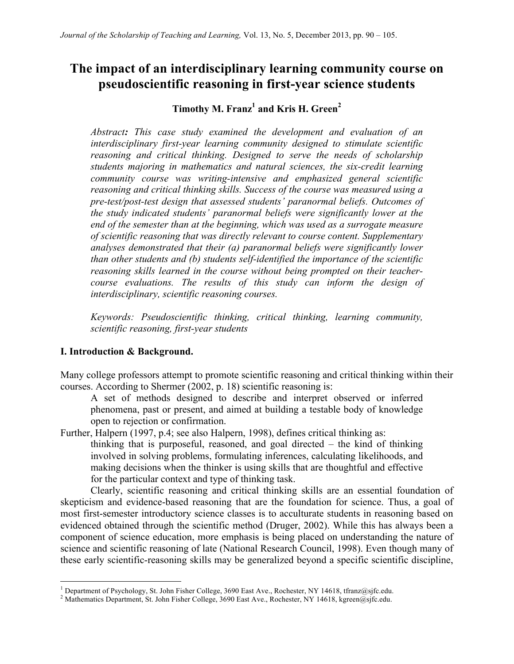# **The impact of an interdisciplinary learning community course on pseudoscientific reasoning in first-year science students**

# Timothy M. Franz<sup>1</sup> and Kris H. Green<sup>2</sup>

*Abstract: This case study examined the development and evaluation of an interdisciplinary first-year learning community designed to stimulate scientific reasoning and critical thinking. Designed to serve the needs of scholarship students majoring in mathematics and natural sciences, the six-credit learning community course was writing-intensive and emphasized general scientific reasoning and critical thinking skills. Success of the course was measured using a pre-test/post-test design that assessed students' paranormal beliefs. Outcomes of the study indicated students' paranormal beliefs were significantly lower at the end of the semester than at the beginning, which was used as a surrogate measure of scientific reasoning that was directly relevant to course content. Supplementary analyses demonstrated that their (a) paranormal beliefs were significantly lower than other students and (b) students self-identified the importance of the scientific reasoning skills learned in the course without being prompted on their teachercourse evaluations. The results of this study can inform the design of interdisciplinary, scientific reasoning courses.*

*Keywords: Pseudoscientific thinking, critical thinking, learning community, scientific reasoning, first-year students*

#### **I. Introduction & Background.**

Many college professors attempt to promote scientific reasoning and critical thinking within their courses. According to Shermer (2002, p. 18) scientific reasoning is:

A set of methods designed to describe and interpret observed or inferred phenomena, past or present, and aimed at building a testable body of knowledge open to rejection or confirmation.

Further, Halpern (1997, p.4; see also Halpern, 1998), defines critical thinking as: thinking that is purposeful, reasoned, and goal directed – the kind of thinking involved in solving problems, formulating inferences, calculating likelihoods, and making decisions when the thinker is using skills that are thoughtful and effective for the particular context and type of thinking task.

Clearly, scientific reasoning and critical thinking skills are an essential foundation of skepticism and evidence-based reasoning that are the foundation for science. Thus, a goal of most first-semester introductory science classes is to acculturate students in reasoning based on evidenced obtained through the scientific method (Druger, 2002). While this has always been a component of science education, more emphasis is being placed on understanding the nature of science and scientific reasoning of late (National Research Council, 1998). Even though many of these early scientific-reasoning skills may be generalized beyond a specific scientific discipline,

<sup>&</sup>lt;sup>1</sup> Department of Psychology, St. John Fisher College, 3690 East Ave., Rochester, NY 14618, tfranz@sjfc.edu.

<sup>&</sup>lt;sup>2</sup> Mathematics Department, St. John Fisher College, 3690 East Ave., Rochester, NY 14618, kgreen@sjfc.edu.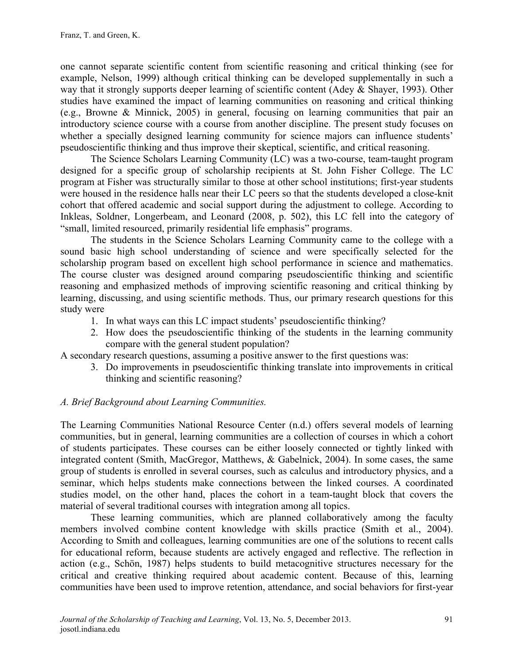one cannot separate scientific content from scientific reasoning and critical thinking (see for example, Nelson, 1999) although critical thinking can be developed supplementally in such a way that it strongly supports deeper learning of scientific content (Adey & Shayer, 1993). Other studies have examined the impact of learning communities on reasoning and critical thinking (e.g., Browne & Minnick, 2005) in general, focusing on learning communities that pair an introductory science course with a course from another discipline. The present study focuses on whether a specially designed learning community for science majors can influence students' pseudoscientific thinking and thus improve their skeptical, scientific, and critical reasoning.

The Science Scholars Learning Community (LC) was a two-course, team-taught program designed for a specific group of scholarship recipients at St. John Fisher College. The LC program at Fisher was structurally similar to those at other school institutions; first-year students were housed in the residence halls near their LC peers so that the students developed a close-knit cohort that offered academic and social support during the adjustment to college. According to Inkleas, Soldner, Longerbeam, and Leonard (2008, p. 502), this LC fell into the category of "small, limited resourced, primarily residential life emphasis" programs.

The students in the Science Scholars Learning Community came to the college with a sound basic high school understanding of science and were specifically selected for the scholarship program based on excellent high school performance in science and mathematics. The course cluster was designed around comparing pseudoscientific thinking and scientific reasoning and emphasized methods of improving scientific reasoning and critical thinking by learning, discussing, and using scientific methods. Thus, our primary research questions for this study were

- 1. In what ways can this LC impact students' pseudoscientific thinking?
- 2. How does the pseudoscientific thinking of the students in the learning community compare with the general student population?

A secondary research questions, assuming a positive answer to the first questions was:

3. Do improvements in pseudoscientific thinking translate into improvements in critical thinking and scientific reasoning?

#### *A. Brief Background about Learning Communities.*

The Learning Communities National Resource Center (n.d.) offers several models of learning communities, but in general, learning communities are a collection of courses in which a cohort of students participates. These courses can be either loosely connected or tightly linked with integrated content (Smith, MacGregor, Matthews, & Gabelnick, 2004). In some cases, the same group of students is enrolled in several courses, such as calculus and introductory physics, and a seminar, which helps students make connections between the linked courses. A coordinated studies model, on the other hand, places the cohort in a team-taught block that covers the material of several traditional courses with integration among all topics.

These learning communities, which are planned collaboratively among the faculty members involved combine content knowledge with skills practice (Smith et al., 2004). According to Smith and colleagues, learning communities are one of the solutions to recent calls for educational reform, because students are actively engaged and reflective. The reflection in action (e.g., Schön, 1987) helps students to build metacognitive structures necessary for the critical and creative thinking required about academic content. Because of this, learning communities have been used to improve retention, attendance, and social behaviors for first-year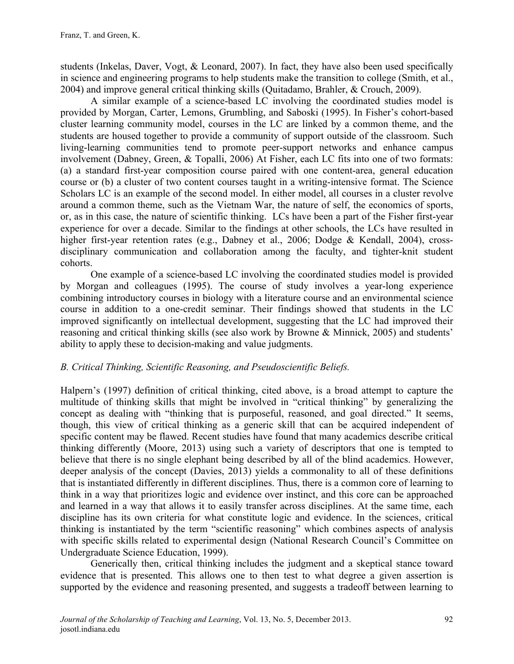students (Inkelas, Daver, Vogt, & Leonard, 2007). In fact, they have also been used specifically in science and engineering programs to help students make the transition to college (Smith, et al., 2004) and improve general critical thinking skills (Quitadamo, Brahler, & Crouch, 2009).

A similar example of a science-based LC involving the coordinated studies model is provided by Morgan, Carter, Lemons, Grumbling, and Saboski (1995). In Fisher's cohort-based cluster learning community model, courses in the LC are linked by a common theme, and the students are housed together to provide a community of support outside of the classroom. Such living-learning communities tend to promote peer-support networks and enhance campus involvement (Dabney, Green, & Topalli, 2006) At Fisher, each LC fits into one of two formats: (a) a standard first-year composition course paired with one content-area, general education course or (b) a cluster of two content courses taught in a writing-intensive format. The Science Scholars LC is an example of the second model. In either model, all courses in a cluster revolve around a common theme, such as the Vietnam War, the nature of self, the economics of sports, or, as in this case, the nature of scientific thinking. LCs have been a part of the Fisher first-year experience for over a decade. Similar to the findings at other schools, the LCs have resulted in higher first-year retention rates (e.g., Dabney et al., 2006; Dodge & Kendall, 2004), crossdisciplinary communication and collaboration among the faculty, and tighter-knit student cohorts.

One example of a science-based LC involving the coordinated studies model is provided by Morgan and colleagues (1995). The course of study involves a year-long experience combining introductory courses in biology with a literature course and an environmental science course in addition to a one-credit seminar. Their findings showed that students in the LC improved significantly on intellectual development, suggesting that the LC had improved their reasoning and critical thinking skills (see also work by Browne & Minnick, 2005) and students' ability to apply these to decision-making and value judgments.

### *B. Critical Thinking, Scientific Reasoning, and Pseudoscientific Beliefs.*

Halpern's (1997) definition of critical thinking, cited above, is a broad attempt to capture the multitude of thinking skills that might be involved in "critical thinking" by generalizing the concept as dealing with "thinking that is purposeful, reasoned, and goal directed." It seems, though, this view of critical thinking as a generic skill that can be acquired independent of specific content may be flawed. Recent studies have found that many academics describe critical thinking differently (Moore, 2013) using such a variety of descriptors that one is tempted to believe that there is no single elephant being described by all of the blind academics. However, deeper analysis of the concept (Davies, 2013) yields a commonality to all of these definitions that is instantiated differently in different disciplines. Thus, there is a common core of learning to think in a way that prioritizes logic and evidence over instinct, and this core can be approached and learned in a way that allows it to easily transfer across disciplines. At the same time, each discipline has its own criteria for what constitute logic and evidence. In the sciences, critical thinking is instantiated by the term "scientific reasoning" which combines aspects of analysis with specific skills related to experimental design (National Research Council's Committee on Undergraduate Science Education, 1999).

Generically then, critical thinking includes the judgment and a skeptical stance toward evidence that is presented. This allows one to then test to what degree a given assertion is supported by the evidence and reasoning presented, and suggests a tradeoff between learning to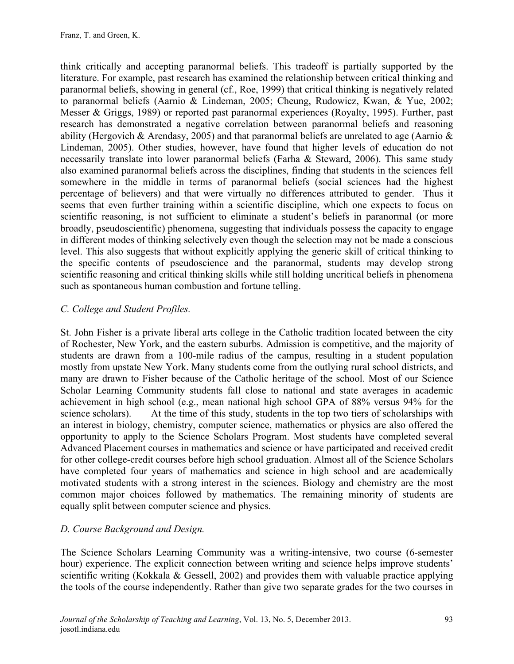think critically and accepting paranormal beliefs. This tradeoff is partially supported by the literature. For example, past research has examined the relationship between critical thinking and paranormal beliefs, showing in general (cf., Roe, 1999) that critical thinking is negatively related to paranormal beliefs (Aarnio & Lindeman, 2005; Cheung, Rudowicz, Kwan, & Yue, 2002; Messer & Griggs, 1989) or reported past paranormal experiences (Royalty, 1995). Further, past research has demonstrated a negative correlation between paranormal beliefs and reasoning ability (Hergovich & Arendasy, 2005) and that paranormal beliefs are unrelated to age (Aarnio & Lindeman, 2005). Other studies, however, have found that higher levels of education do not necessarily translate into lower paranormal beliefs (Farha & Steward, 2006). This same study also examined paranormal beliefs across the disciplines, finding that students in the sciences fell somewhere in the middle in terms of paranormal beliefs (social sciences had the highest percentage of believers) and that were virtually no differences attributed to gender. Thus it seems that even further training within a scientific discipline, which one expects to focus on scientific reasoning, is not sufficient to eliminate a student's beliefs in paranormal (or more broadly, pseudoscientific) phenomena, suggesting that individuals possess the capacity to engage in different modes of thinking selectively even though the selection may not be made a conscious level. This also suggests that without explicitly applying the generic skill of critical thinking to the specific contents of pseudoscience and the paranormal, students may develop strong scientific reasoning and critical thinking skills while still holding uncritical beliefs in phenomena such as spontaneous human combustion and fortune telling.

#### *C. College and Student Profiles.*

St. John Fisher is a private liberal arts college in the Catholic tradition located between the city of Rochester, New York, and the eastern suburbs. Admission is competitive, and the majority of students are drawn from a 100-mile radius of the campus, resulting in a student population mostly from upstate New York. Many students come from the outlying rural school districts, and many are drawn to Fisher because of the Catholic heritage of the school. Most of our Science Scholar Learning Community students fall close to national and state averages in academic achievement in high school (e.g., mean national high school GPA of 88% versus 94% for the science scholars). At the time of this study, students in the top two tiers of scholarships with an interest in biology, chemistry, computer science, mathematics or physics are also offered the opportunity to apply to the Science Scholars Program. Most students have completed several Advanced Placement courses in mathematics and science or have participated and received credit for other college-credit courses before high school graduation. Almost all of the Science Scholars have completed four years of mathematics and science in high school and are academically motivated students with a strong interest in the sciences. Biology and chemistry are the most common major choices followed by mathematics. The remaining minority of students are equally split between computer science and physics.

### *D. Course Background and Design.*

The Science Scholars Learning Community was a writing-intensive, two course (6-semester hour) experience. The explicit connection between writing and science helps improve students' scientific writing (Kokkala & Gessell, 2002) and provides them with valuable practice applying the tools of the course independently. Rather than give two separate grades for the two courses in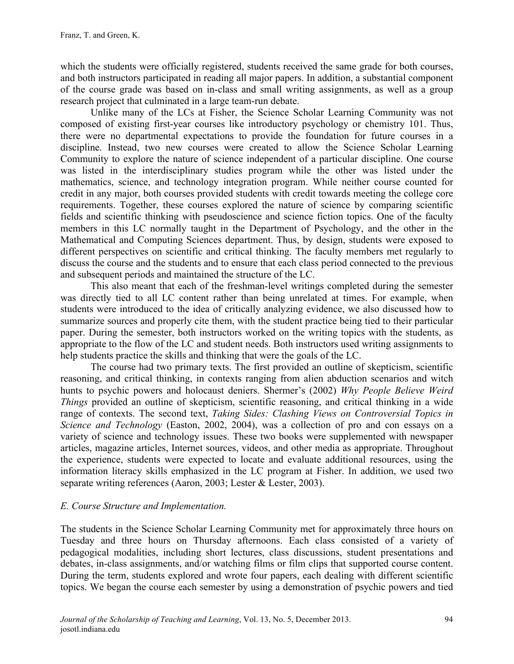which the students were officially registered, students received the same grade for both courses, and both instructors participated in reading all major papers. In addition, a substantial component of the course grade was based on in-class and small writing assignments, as well as a group research project that culminated in a large team-run debate.

Unlike many of the LCs at Fisher, the Science Scholar Learning Community was not composed of existing first-year courses like introductory psychology or chemistry 101. Thus, there were no departmental expectations to provide the foundation for future courses in a discipline. Instead, two new courses were created to allow the Science Scholar Learning Community to explore the nature of science independent of a particular discipline. One course was listed in the interdisciplinary studies program while the other was listed under the mathematics, science, and technology integration program. While neither course counted for credit in any major, both courses provided students with credit towards meeting the college core requirements. Together, these courses explored the nature of science by comparing scientific fields and scientific thinking with pseudoscience and science fiction topics. One of the faculty members in this LC normally taught in the Department of Psychology, and the other in the Mathematical and Computing Sciences department. Thus, by design, students were exposed to different perspectives on scientific and critical thinking. The faculty members met regularly to discuss the course and the students and to ensure that each class period connected to the previous and subsequent periods and maintained the structure of the LC.

This also meant that each of the freshman-level writings completed during the semester was directly tied to all LC content rather than being unrelated at times. For example, when students were introduced to the idea of critically analyzing evidence, we also discussed how to summarize sources and properly cite them, with the student practice being tied to their particular paper. During the semester, both instructors worked on the writing topics with the students, as appropriate to the flow of the LC and student needs. Both instructors used writing assignments to help students practice the skills and thinking that were the goals of the LC.

The course had two primary texts. The first provided an outline of skepticism, scientific reasoning, and critical thinking, in contexts ranging from alien abduction scenarios and witch hunts to psychic powers and holocaust deniers. Shermer's (2002) *Why People Believe Weird Things* provided an outline of skepticism, scientific reasoning, and critical thinking in a wide range of contexts. The second text, *Taking Sides: Clashing Views on Controversial Topics in Science and Technology* (Easton, 2002, 2004), was a collection of pro and con essays on a variety of science and technology issues. These two books were supplemented with newspaper articles, magazine articles, Internet sources, videos, and other media as appropriate. Throughout the experience, students were expected to locate and evaluate additional resources, using the information literacy skills emphasized in the LC program at Fisher. In addition, we used two separate writing references (Aaron, 2003; Lester & Lester, 2003).

#### *E. Course Structure and Implementation.*

The students in the Science Scholar Learning Community met for approximately three hours on Tuesday and three hours on Thursday afternoons. Each class consisted of a variety of pedagogical modalities, including short lectures, class discussions, student presentations and debates, in-class assignments, and/or watching films or film clips that supported course content. During the term, students explored and wrote four papers, each dealing with different scientific topics. We began the course each semester by using a demonstration of psychic powers and tied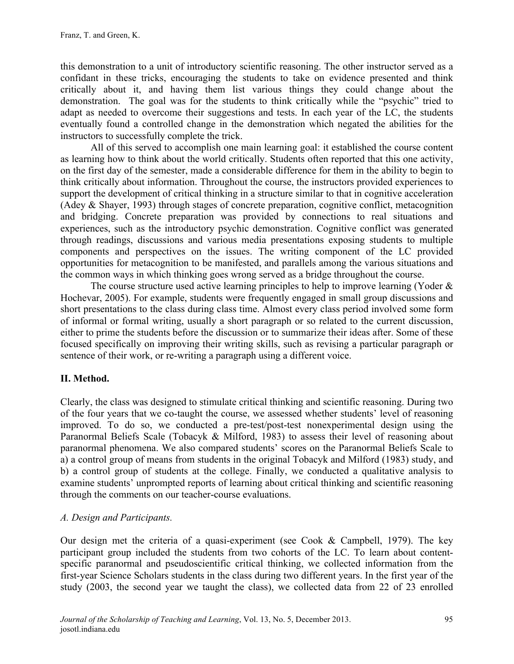this demonstration to a unit of introductory scientific reasoning. The other instructor served as a confidant in these tricks, encouraging the students to take on evidence presented and think critically about it, and having them list various things they could change about the demonstration. The goal was for the students to think critically while the "psychic" tried to adapt as needed to overcome their suggestions and tests. In each year of the LC, the students eventually found a controlled change in the demonstration which negated the abilities for the instructors to successfully complete the trick.

All of this served to accomplish one main learning goal: it established the course content as learning how to think about the world critically. Students often reported that this one activity, on the first day of the semester, made a considerable difference for them in the ability to begin to think critically about information. Throughout the course, the instructors provided experiences to support the development of critical thinking in a structure similar to that in cognitive acceleration (Adey & Shayer, 1993) through stages of concrete preparation, cognitive conflict, metacognition and bridging. Concrete preparation was provided by connections to real situations and experiences, such as the introductory psychic demonstration. Cognitive conflict was generated through readings, discussions and various media presentations exposing students to multiple components and perspectives on the issues. The writing component of the LC provided opportunities for metacognition to be manifested, and parallels among the various situations and the common ways in which thinking goes wrong served as a bridge throughout the course.

The course structure used active learning principles to help to improve learning (Yoder  $\&$ Hochevar, 2005). For example, students were frequently engaged in small group discussions and short presentations to the class during class time. Almost every class period involved some form of informal or formal writing, usually a short paragraph or so related to the current discussion, either to prime the students before the discussion or to summarize their ideas after. Some of these focused specifically on improving their writing skills, such as revising a particular paragraph or sentence of their work, or re-writing a paragraph using a different voice.

# **II. Method.**

Clearly, the class was designed to stimulate critical thinking and scientific reasoning. During two of the four years that we co-taught the course, we assessed whether students' level of reasoning improved. To do so, we conducted a pre-test/post-test nonexperimental design using the Paranormal Beliefs Scale (Tobacyk & Milford, 1983) to assess their level of reasoning about paranormal phenomena. We also compared students' scores on the Paranormal Beliefs Scale to a) a control group of means from students in the original Tobacyk and Milford (1983) study, and b) a control group of students at the college. Finally, we conducted a qualitative analysis to examine students' unprompted reports of learning about critical thinking and scientific reasoning through the comments on our teacher-course evaluations.

### *A. Design and Participants.*

Our design met the criteria of a quasi-experiment (see Cook & Campbell, 1979). The key participant group included the students from two cohorts of the LC. To learn about contentspecific paranormal and pseudoscientific critical thinking, we collected information from the first-year Science Scholars students in the class during two different years. In the first year of the study (2003, the second year we taught the class), we collected data from 22 of 23 enrolled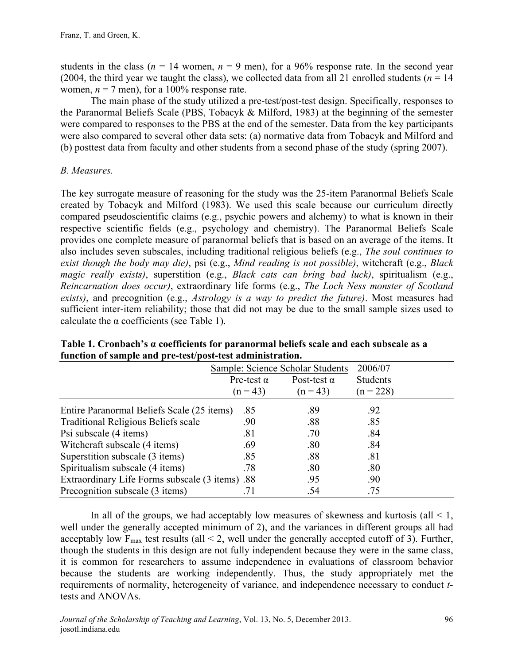students in the class ( $n = 14$  women,  $n = 9$  men), for a 96% response rate. In the second year (2004, the third year we taught the class), we collected data from all 21 enrolled students ( $n = 14$ ) women,  $n = 7$  men), for a 100% response rate.

The main phase of the study utilized a pre-test/post-test design. Specifically, responses to the Paranormal Beliefs Scale (PBS, Tobacyk & Milford, 1983) at the beginning of the semester were compared to responses to the PBS at the end of the semester. Data from the key participants were also compared to several other data sets: (a) normative data from Tobacyk and Milford and (b) posttest data from faculty and other students from a second phase of the study (spring 2007).

### *B. Measures.*

The key surrogate measure of reasoning for the study was the 25-item Paranormal Beliefs Scale created by Tobacyk and Milford (1983). We used this scale because our curriculum directly compared pseudoscientific claims (e.g., psychic powers and alchemy) to what is known in their respective scientific fields (e.g., psychology and chemistry). The Paranormal Beliefs Scale provides one complete measure of paranormal beliefs that is based on an average of the items. It also includes seven subscales, including traditional religious beliefs (e.g., *The soul continues to exist though the body may die)*, psi (e.g., *Mind reading is not possible)*, witchcraft (e.g., *Black magic really exists)*, superstition (e.g., *Black cats can bring bad luck)*, spiritualism (e.g., *Reincarnation does occur)*, extraordinary life forms (e.g., *The Loch Ness monster of Scotland exists)*, and precognition (e.g., *Astrology is a way to predict the future)*. Most measures had sufficient inter-item reliability; those that did not may be due to the small sample sizes used to calculate the  $\alpha$  coefficients (see Table 1).

|                                                 |                   | Sample: Science Scholar Students | 2006/07         |  |
|-------------------------------------------------|-------------------|----------------------------------|-----------------|--|
|                                                 | Pre-test $\alpha$ | Post-test $\alpha$               | <b>Students</b> |  |
|                                                 | $(n = 43)$        | $(n = 43)$                       | $(n = 228)$     |  |
| Entire Paranormal Beliefs Scale (25 items)      | .85               | .89                              | .92             |  |
| <b>Traditional Religious Beliefs scale</b>      | .90               | .88                              | .85             |  |
| Psi subscale (4 items)                          | .81               | .70                              | .84             |  |
| Witchcraft subscale (4 items)                   | .69               | .80                              | .84             |  |
| Superstition subscale (3 items)                 | .85               | .88                              | .81             |  |
| Spiritualism subscale (4 items)                 | .78               | .80                              | .80             |  |
| Extraordinary Life Forms subscale (3 items) .88 |                   | .95                              | .90             |  |
| Precognition subscale (3 items)                 | .71               | .54                              | .75             |  |

**Table 1. Cronbach's α coefficients for paranormal beliefs scale and each subscale as a function of sample and pre-test/post-test administration.** 

In all of the groups, we had acceptably low measures of skewness and kurtosis (all  $\leq 1$ , well under the generally accepted minimum of 2), and the variances in different groups all had acceptably low  $F_{\text{max}}$  test results (all  $\leq$  2, well under the generally accepted cutoff of 3). Further, though the students in this design are not fully independent because they were in the same class, it is common for researchers to assume independence in evaluations of classroom behavior because the students are working independently. Thus, the study appropriately met the requirements of normality, heterogeneity of variance, and independence necessary to conduct *t*tests and ANOVAs.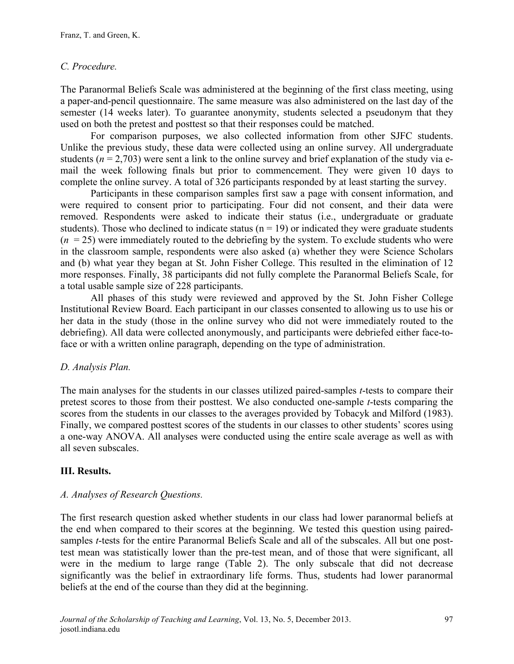### *C. Procedure.*

The Paranormal Beliefs Scale was administered at the beginning of the first class meeting, using a paper-and-pencil questionnaire. The same measure was also administered on the last day of the semester (14 weeks later). To guarantee anonymity, students selected a pseudonym that they used on both the pretest and posttest so that their responses could be matched.

For comparison purposes, we also collected information from other SJFC students. Unlike the previous study, these data were collected using an online survey. All undergraduate students ( $n = 2,703$ ) were sent a link to the online survey and brief explanation of the study via email the week following finals but prior to commencement. They were given 10 days to complete the online survey. A total of 326 participants responded by at least starting the survey.

Participants in these comparison samples first saw a page with consent information, and were required to consent prior to participating. Four did not consent, and their data were removed. Respondents were asked to indicate their status (i.e., undergraduate or graduate students). Those who declined to indicate status ( $n = 19$ ) or indicated they were graduate students  $(n = 25)$  were immediately routed to the debriefing by the system. To exclude students who were in the classroom sample, respondents were also asked (a) whether they were Science Scholars and (b) what year they began at St. John Fisher College. This resulted in the elimination of 12 more responses. Finally, 38 participants did not fully complete the Paranormal Beliefs Scale, for a total usable sample size of 228 participants.

All phases of this study were reviewed and approved by the St. John Fisher College Institutional Review Board. Each participant in our classes consented to allowing us to use his or her data in the study (those in the online survey who did not were immediately routed to the debriefing). All data were collected anonymously, and participants were debriefed either face-toface or with a written online paragraph, depending on the type of administration.

### *D. Analysis Plan.*

The main analyses for the students in our classes utilized paired-samples *t*-tests to compare their pretest scores to those from their posttest. We also conducted one-sample *t*-tests comparing the scores from the students in our classes to the averages provided by Tobacyk and Milford (1983). Finally, we compared posttest scores of the students in our classes to other students' scores using a one-way ANOVA. All analyses were conducted using the entire scale average as well as with all seven subscales.

### **III. Results.**

### *A. Analyses of Research Questions.*

The first research question asked whether students in our class had lower paranormal beliefs at the end when compared to their scores at the beginning. We tested this question using pairedsamples *t*-tests for the entire Paranormal Beliefs Scale and all of the subscales. All but one posttest mean was statistically lower than the pre-test mean, and of those that were significant, all were in the medium to large range (Table 2). The only subscale that did not decrease significantly was the belief in extraordinary life forms. Thus, students had lower paranormal beliefs at the end of the course than they did at the beginning.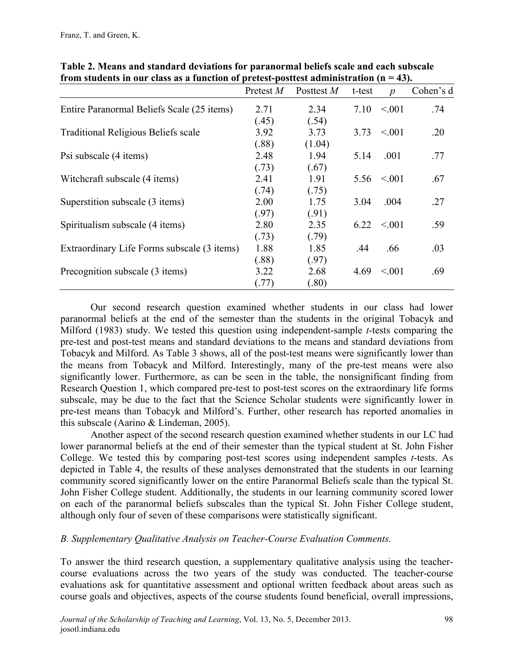|                                             | Pretest M | Posttest M | t-test | $\boldsymbol{p}$ | Cohen's d |
|---------------------------------------------|-----------|------------|--------|------------------|-----------|
| Entire Paranormal Beliefs Scale (25 items)  | 2.71      | 2.34       | 7.10   | < 0.01           | .74       |
|                                             | (.45)     | (.54)      |        |                  |           |
| <b>Traditional Religious Beliefs scale</b>  | 3.92      | 3.73       | 3.73   | < 0.01           | .20       |
|                                             | (.88)     | (1.04)     |        |                  |           |
| Psi subscale (4 items)                      | 2.48      | 1.94       | 5.14   | .001             | .77       |
|                                             | (.73)     | (.67)      |        |                  |           |
| Witchcraft subscale (4 items)               | 2.41      | 1.91       |        | $5.56 \le 0.001$ | .67       |
|                                             | (.74)     | (.75)      |        |                  |           |
| Superstition subscale (3 items)             | 2.00      | 1.75       | 3.04   | .004             | .27       |
|                                             | (.97)     | (.91)      |        |                  |           |
| Spiritualism subscale (4 items)             | 2.80      | 2.35       | 6 22   | $\leq 0.01$      | .59       |
|                                             | (.73)     | (.79)      |        |                  |           |
| Extraordinary Life Forms subscale (3 items) | 1.88      | 1.85       | .44    | .66              | .03       |
|                                             | (.88)     | (.97)      |        |                  |           |
| Precognition subscale (3 items)             | 3.22      | 2.68       | 4.69   | $\leq 0.01$      | .69       |
|                                             | (.77)     | (.80)      |        |                  |           |

**Table 2. Means and standard deviations for paranormal beliefs scale and each subscale from students in our class as a function of pretest-posttest administration (n = 43).** 

Our second research question examined whether students in our class had lower paranormal beliefs at the end of the semester than the students in the original Tobacyk and Milford (1983) study. We tested this question using independent-sample *t*-tests comparing the pre-test and post-test means and standard deviations to the means and standard deviations from Tobacyk and Milford. As Table 3 shows, all of the post-test means were significantly lower than the means from Tobacyk and Milford. Interestingly, many of the pre-test means were also significantly lower. Furthermore, as can be seen in the table, the nonsignificant finding from Research Question 1, which compared pre-test to post-test scores on the extraordinary life forms subscale, may be due to the fact that the Science Scholar students were significantly lower in pre-test means than Tobacyk and Milford's. Further, other research has reported anomalies in this subscale (Aarino & Lindeman, 2005).

Another aspect of the second research question examined whether students in our LC had lower paranormal beliefs at the end of their semester than the typical student at St. John Fisher College. We tested this by comparing post-test scores using independent samples *t*-tests. As depicted in Table 4, the results of these analyses demonstrated that the students in our learning community scored significantly lower on the entire Paranormal Beliefs scale than the typical St. John Fisher College student. Additionally, the students in our learning community scored lower on each of the paranormal beliefs subscales than the typical St. John Fisher College student, although only four of seven of these comparisons were statistically significant.

#### *B. Supplementary Qualitative Analysis on Teacher-Course Evaluation Comments.*

To answer the third research question, a supplementary qualitative analysis using the teachercourse evaluations across the two years of the study was conducted. The teacher-course evaluations ask for quantitative assessment and optional written feedback about areas such as course goals and objectives, aspects of the course students found beneficial, overall impressions,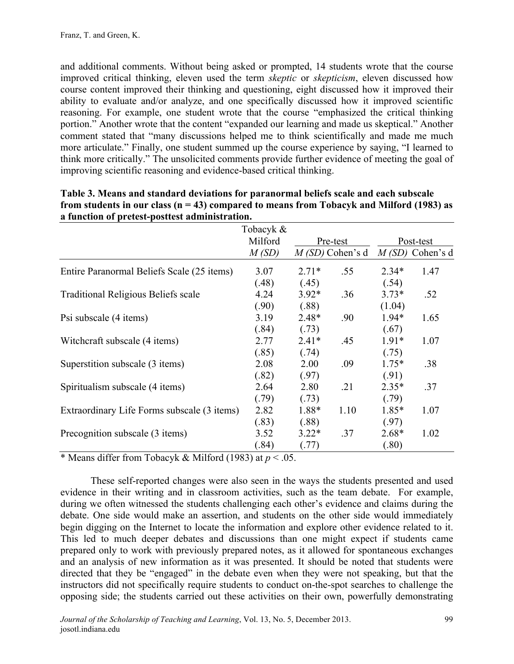and additional comments. Without being asked or prompted, 14 students wrote that the course improved critical thinking, eleven used the term *skeptic* or *skepticism*, eleven discussed how course content improved their thinking and questioning, eight discussed how it improved their ability to evaluate and/or analyze, and one specifically discussed how it improved scientific reasoning. For example, one student wrote that the course "emphasized the critical thinking portion." Another wrote that the content "expanded our learning and made us skeptical." Another comment stated that "many discussions helped me to think scientifically and made me much more articulate." Finally, one student summed up the course experience by saying, "I learned to think more critically." The unsolicited comments provide further evidence of meeting the goal of improving scientific reasoning and evidence-based critical thinking.

|                                             | Tobacyk & |          |                   |           |                   |
|---------------------------------------------|-----------|----------|-------------------|-----------|-------------------|
|                                             | Milford   | Pre-test |                   | Post-test |                   |
|                                             | M(SD)     |          | $M(SD)$ Cohen's d |           | $M(SD)$ Cohen's d |
| Entire Paranormal Beliefs Scale (25 items)  | 3.07      | $2.71*$  | .55               | $2.34*$   | 1.47              |
|                                             | (.48)     | (.45)    |                   | (.54)     |                   |
| <b>Traditional Religious Beliefs scale</b>  | 4.24      | $3.92*$  | .36               | $3.73*$   | .52               |
|                                             | (.90)     | (.88)    |                   | (1.04)    |                   |
| Psi subscale (4 items)                      | 3.19      | $2.48*$  | .90               | $1.94*$   | 1.65              |
|                                             | (.84)     | (.73)    |                   | (.67)     |                   |
| Witchcraft subscale (4 items)               | 2.77      | $2.41*$  | .45               | $1.91*$   | 1.07              |
|                                             | (.85)     | (.74)    |                   | (.75)     |                   |
| Superstition subscale (3 items)             | 2.08      | 2.00     | .09               | $1.75*$   | .38               |
|                                             | (.82)     | (.97)    |                   | (.91)     |                   |
| Spiritualism subscale (4 items)             | 2.64      | 2.80     | .21               | $2.35*$   | .37               |
|                                             | (.79)     | (.73)    |                   | (.79)     |                   |
| Extraordinary Life Forms subscale (3 items) | 2.82      | 1.88*    | 1.10              | $1.85*$   | 1.07              |
|                                             | (.83)     | (.88)    |                   | (.97)     |                   |
| Precognition subscale (3 items)             | 3.52      | $3.22*$  | .37               | $2.68*$   | 1.02              |
|                                             | (.84)     | (.77)    |                   | (.80)     |                   |

| Table 3. Means and standard deviations for paranormal beliefs scale and each subscale        |
|----------------------------------------------------------------------------------------------|
| from students in our class ( $n = 43$ ) compared to means from Tobacyk and Milford (1983) as |
| a function of pretest-posttest administration.                                               |

\* Means differ from Tobacyk & Milford (1983) at *p* < .05.

These self-reported changes were also seen in the ways the students presented and used evidence in their writing and in classroom activities, such as the team debate. For example, during we often witnessed the students challenging each other's evidence and claims during the debate. One side would make an assertion, and students on the other side would immediately begin digging on the Internet to locate the information and explore other evidence related to it. This led to much deeper debates and discussions than one might expect if students came prepared only to work with previously prepared notes, as it allowed for spontaneous exchanges and an analysis of new information as it was presented. It should be noted that students were directed that they be "engaged" in the debate even when they were not speaking, but that the instructors did not specifically require students to conduct on-the-spot searches to challenge the opposing side; the students carried out these activities on their own, powerfully demonstrating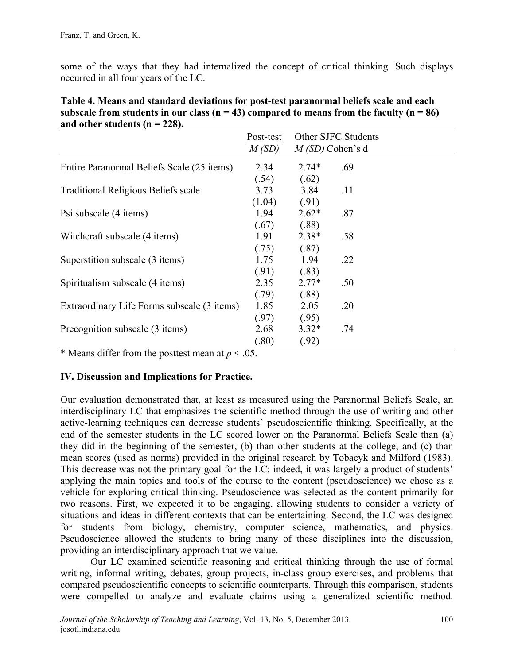some of the ways that they had internalized the concept of critical thinking. Such displays occurred in all four years of the LC.

| and other students $(n - 220)$ .            |           |         |                     |  |
|---------------------------------------------|-----------|---------|---------------------|--|
|                                             | Post-test |         | Other SJFC Students |  |
|                                             | M(SD)     |         | $M(SD)$ Cohen's d   |  |
| Entire Paranormal Beliefs Scale (25 items)  | 2.34      | $2.74*$ | .69                 |  |
|                                             | (.54)     | (.62)   |                     |  |
| <b>Traditional Religious Beliefs scale</b>  | 3.73      | 3.84    | .11                 |  |
|                                             | (1.04)    | (.91)   |                     |  |
| Psi subscale (4 items)                      | 1.94      | $2.62*$ | .87                 |  |
|                                             | (.67)     | (.88)   |                     |  |
| Witchcraft subscale (4 items)               | 1.91      | $2.38*$ | .58                 |  |
|                                             | (.75)     | (.87)   |                     |  |
| Superstition subscale (3 items)             | 1.75      | 1.94    | .22                 |  |
|                                             | (.91)     | (.83)   |                     |  |
| Spiritualism subscale (4 items)             | 2.35      | $2.77*$ | .50                 |  |
|                                             | (.79)     | (.88)   |                     |  |
| Extraordinary Life Forms subscale (3 items) | 1.85      | 2.05    | .20                 |  |
|                                             | (.97)     | (.95)   |                     |  |
| Precognition subscale (3 items)             | 2.68      | $3.32*$ | .74                 |  |
|                                             | (.80)     | (.92)   |                     |  |

| Table 4. Means and standard deviations for post-test paranormal beliefs scale and each           |
|--------------------------------------------------------------------------------------------------|
| subscale from students in our class ( $n = 43$ ) compared to means from the faculty ( $n = 86$ ) |
| and other students ( $n = 228$ ).                                                                |

\* Means differ from the posttest mean at  $p < .05$ .

#### **IV. Discussion and Implications for Practice.**

Our evaluation demonstrated that, at least as measured using the Paranormal Beliefs Scale, an interdisciplinary LC that emphasizes the scientific method through the use of writing and other active-learning techniques can decrease students' pseudoscientific thinking. Specifically, at the end of the semester students in the LC scored lower on the Paranormal Beliefs Scale than (a) they did in the beginning of the semester, (b) than other students at the college, and (c) than mean scores (used as norms) provided in the original research by Tobacyk and Milford (1983). This decrease was not the primary goal for the LC; indeed, it was largely a product of students' applying the main topics and tools of the course to the content (pseudoscience) we chose as a vehicle for exploring critical thinking. Pseudoscience was selected as the content primarily for two reasons. First, we expected it to be engaging, allowing students to consider a variety of situations and ideas in different contexts that can be entertaining. Second, the LC was designed for students from biology, chemistry, computer science, mathematics, and physics. Pseudoscience allowed the students to bring many of these disciplines into the discussion, providing an interdisciplinary approach that we value.

Our LC examined scientific reasoning and critical thinking through the use of formal writing, informal writing, debates, group projects, in-class group exercises, and problems that compared pseudoscientific concepts to scientific counterparts. Through this comparison, students were compelled to analyze and evaluate claims using a generalized scientific method.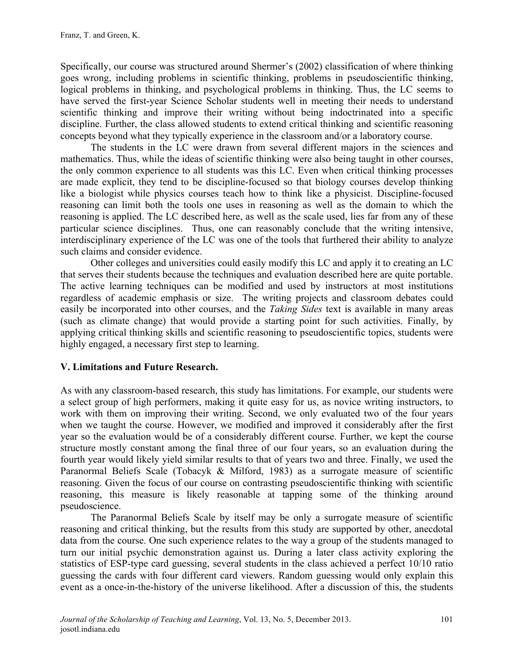Specifically, our course was structured around Shermer's (2002) classification of where thinking goes wrong, including problems in scientific thinking, problems in pseudoscientific thinking, logical problems in thinking, and psychological problems in thinking. Thus, the LC seems to have served the first-year Science Scholar students well in meeting their needs to understand scientific thinking and improve their writing without being indoctrinated into a specific discipline. Further, the class allowed students to extend critical thinking and scientific reasoning concepts beyond what they typically experience in the classroom and/or a laboratory course.

The students in the LC were drawn from several different majors in the sciences and mathematics. Thus, while the ideas of scientific thinking were also being taught in other courses, the only common experience to all students was this LC. Even when critical thinking processes are made explicit, they tend to be discipline-focused so that biology courses develop thinking like a biologist while physics courses teach how to think like a physicist. Discipline-focused reasoning can limit both the tools one uses in reasoning as well as the domain to which the reasoning is applied. The LC described here, as well as the scale used, lies far from any of these particular science disciplines. Thus, one can reasonably conclude that the writing intensive, interdisciplinary experience of the LC was one of the tools that furthered their ability to analyze such claims and consider evidence.

Other colleges and universities could easily modify this LC and apply it to creating an LC that serves their students because the techniques and evaluation described here are quite portable. The active learning techniques can be modified and used by instructors at most institutions regardless of academic emphasis or size. The writing projects and classroom debates could easily be incorporated into other courses, and the *Taking Sides* text is available in many areas (such as climate change) that would provide a starting point for such activities. Finally, by applying critical thinking skills and scientific reasoning to pseudoscientific topics, students were highly engaged, a necessary first step to learning.

#### **V. Limitations and Future Research.**

As with any classroom-based research, this study has limitations. For example, our students were a select group of high performers, making it quite easy for us, as novice writing instructors, to work with them on improving their writing. Second, we only evaluated two of the four years when we taught the course. However, we modified and improved it considerably after the first year so the evaluation would be of a considerably different course. Further, we kept the course structure mostly constant among the final three of our four years, so an evaluation during the fourth year would likely yield similar results to that of years two and three. Finally, we used the Paranormal Beliefs Scale (Tobacyk & Milford, 1983) as a surrogate measure of scientific reasoning. Given the focus of our course on contrasting pseudoscientific thinking with scientific reasoning, this measure is likely reasonable at tapping some of the thinking around pseudoscience.

The Paranormal Beliefs Scale by itself may be only a surrogate measure of scientific reasoning and critical thinking, but the results from this study are supported by other, anecdotal data from the course. One such experience relates to the way a group of the students managed to turn our initial psychic demonstration against us. During a later class activity exploring the statistics of ESP-type card guessing, several students in the class achieved a perfect 10/10 ratio guessing the cards with four different card viewers. Random guessing would only explain this event as a once-in-the-history of the universe likelihood. After a discussion of this, the students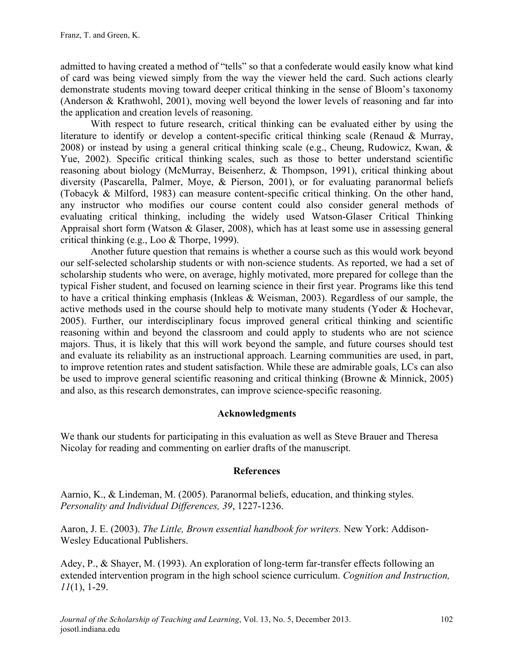admitted to having created a method of "tells" so that a confederate would easily know what kind of card was being viewed simply from the way the viewer held the card. Such actions clearly demonstrate students moving toward deeper critical thinking in the sense of Bloom's taxonomy (Anderson & Krathwohl, 2001), moving well beyond the lower levels of reasoning and far into the application and creation levels of reasoning.

With respect to future research, critical thinking can be evaluated either by using the literature to identify or develop a content-specific critical thinking scale (Renaud & Murray, 2008) or instead by using a general critical thinking scale (e.g., Cheung, Rudowicz, Kwan, & Yue, 2002). Specific critical thinking scales, such as those to better understand scientific reasoning about biology (McMurray, Beisenherz, & Thompson, 1991), critical thinking about diversity (Pascarella, Palmer, Moye, & Pierson, 2001), or for evaluating paranormal beliefs (Tobacyk & Milford, 1983) can measure content-specific critical thinking. On the other hand, any instructor who modifies our course content could also consider general methods of evaluating critical thinking, including the widely used Watson-Glaser Critical Thinking Appraisal short form (Watson & Glaser, 2008), which has at least some use in assessing general critical thinking (e.g., Loo & Thorpe, 1999).

Another future question that remains is whether a course such as this would work beyond our self-selected scholarship students or with non-science students. As reported, we had a set of scholarship students who were, on average, highly motivated, more prepared for college than the typical Fisher student, and focused on learning science in their first year. Programs like this tend to have a critical thinking emphasis (Inkleas & Weisman, 2003). Regardless of our sample, the active methods used in the course should help to motivate many students (Yoder & Hochevar, 2005). Further, our interdisciplinary focus improved general critical thinking and scientific reasoning within and beyond the classroom and could apply to students who are not science majors. Thus, it is likely that this will work beyond the sample, and future courses should test and evaluate its reliability as an instructional approach. Learning communities are used, in part, to improve retention rates and student satisfaction. While these are admirable goals, LCs can also be used to improve general scientific reasoning and critical thinking (Browne & Minnick, 2005) and also, as this research demonstrates, can improve science-specific reasoning.

#### **Acknowledgments**

We thank our students for participating in this evaluation as well as Steve Brauer and Theresa Nicolay for reading and commenting on earlier drafts of the manuscript.

#### **References**

Aarnio, K., & Lindeman, M. (2005). Paranormal beliefs, education, and thinking styles. *Personality and Individual Differences, 39*, 1227-1236.

Aaron, J. E. (2003). *The Little, Brown essential handbook for writers.* New York: Addison-Wesley Educational Publishers.

Adey, P., & Shayer, M. (1993). An exploration of long-term far-transfer effects following an extended intervention program in the high school science curriculum. *Cognition and Instruction, 11*(1), 1-29.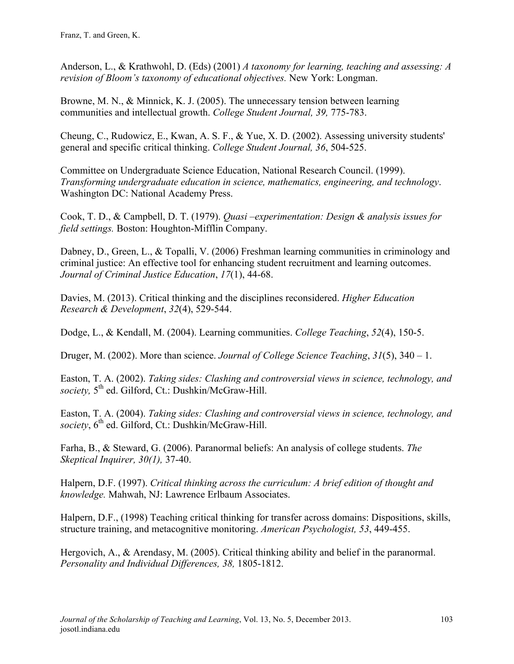Franz, T. and Green, K.

Anderson, L., & Krathwohl, D. (Eds) (2001) *A taxonomy for learning, teaching and assessing: A revision of Bloom's taxonomy of educational objectives.* New York: Longman.

Browne, M. N., & Minnick, K. J. (2005). The unnecessary tension between learning communities and intellectual growth. *College Student Journal, 39,* 775-783.

Cheung, C., Rudowicz, E., Kwan, A. S. F., & Yue, X. D. (2002). Assessing university students' general and specific critical thinking. *College Student Journal, 36*, 504-525.

Committee on Undergraduate Science Education, National Research Council. (1999). *Transforming undergraduate education in science, mathematics, engineering, and technology*. Washington DC: National Academy Press.

Cook, T. D., & Campbell, D. T. (1979). *Quasi –experimentation: Design & analysis issues for field settings.* Boston: Houghton-Mifflin Company.

Dabney, D., Green, L., & Topalli, V. (2006) Freshman learning communities in criminology and criminal justice: An effective tool for enhancing student recruitment and learning outcomes. *Journal of Criminal Justice Education*, *17*(1), 44-68.

Davies, M. (2013). Critical thinking and the disciplines reconsidered. *Higher Education Research & Development*, *32*(4), 529-544.

Dodge, L., & Kendall, M. (2004). Learning communities. *College Teaching*, *52*(4), 150-5.

Druger, M. (2002). More than science. *Journal of College Science Teaching*, *31*(5), 340 – 1.

Easton, T. A. (2002). *Taking sides: Clashing and controversial views in science, technology, and*  society, 5<sup>th</sup> ed. Gilford, Ct.: Dushkin/McGraw-Hill.

Easton, T. A. (2004). *Taking sides: Clashing and controversial views in science, technology, and*  society, 6<sup>th</sup> ed. Gilford, Ct.: Dushkin/McGraw-Hill.

Farha, B., & Steward, G. (2006). Paranormal beliefs: An analysis of college students. *The Skeptical Inquirer, 30(1),* 37-40.

Halpern, D.F. (1997). *Critical thinking across the curriculum: A brief edition of thought and knowledge.* Mahwah, NJ: Lawrence Erlbaum Associates.

Halpern, D.F., (1998) Teaching critical thinking for transfer across domains: Dispositions, skills, structure training, and metacognitive monitoring. *American Psychologist, 53*, 449-455.

Hergovich, A., & Arendasy, M. (2005). Critical thinking ability and belief in the paranormal. *Personality and Individual Differences, 38,* 1805-1812.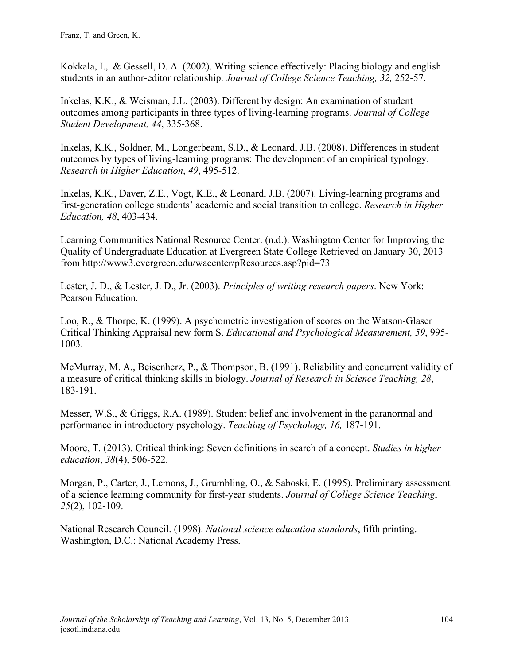Kokkala, I., & Gessell, D. A. (2002). Writing science effectively: Placing biology and english students in an author-editor relationship. *Journal of College Science Teaching, 32,* 252-57.

Inkelas, K.K., & Weisman, J.L. (2003). Different by design: An examination of student outcomes among participants in three types of living-learning programs. *Journal of College Student Development, 44*, 335-368.

Inkelas, K.K., Soldner, M., Longerbeam, S.D., & Leonard, J.B. (2008). Differences in student outcomes by types of living-learning programs: The development of an empirical typology. *Research in Higher Education*, *49*, 495-512.

Inkelas, K.K., Daver, Z.E., Vogt, K.E., & Leonard, J.B. (2007). Living-learning programs and first-generation college students' academic and social transition to college. *Research in Higher Education, 48*, 403-434.

Learning Communities National Resource Center. (n.d.). Washington Center for Improving the Quality of Undergraduate Education at Evergreen State College Retrieved on January 30, 2013 from http://www3.evergreen.edu/wacenter/pResources.asp?pid=73

Lester, J. D., & Lester, J. D., Jr. (2003). *Principles of writing research papers*. New York: Pearson Education.

Loo, R., & Thorpe, K. (1999). A psychometric investigation of scores on the Watson-Glaser Critical Thinking Appraisal new form S. *Educational and Psychological Measurement, 59*, 995- 1003.

McMurray, M. A., Beisenherz, P., & Thompson, B. (1991). Reliability and concurrent validity of a measure of critical thinking skills in biology. *Journal of Research in Science Teaching, 28*, 183-191.

Messer, W.S., & Griggs, R.A. (1989). Student belief and involvement in the paranormal and performance in introductory psychology. *Teaching of Psychology, 16,* 187-191.

Moore, T. (2013). Critical thinking: Seven definitions in search of a concept. *Studies in higher education*, *38*(4), 506-522.

Morgan, P., Carter, J., Lemons, J., Grumbling, O., & Saboski, E. (1995). Preliminary assessment of a science learning community for first-year students. *Journal of College Science Teaching*, *25*(2), 102-109.

National Research Council. (1998). *National science education standards*, fifth printing. Washington, D.C.: National Academy Press.